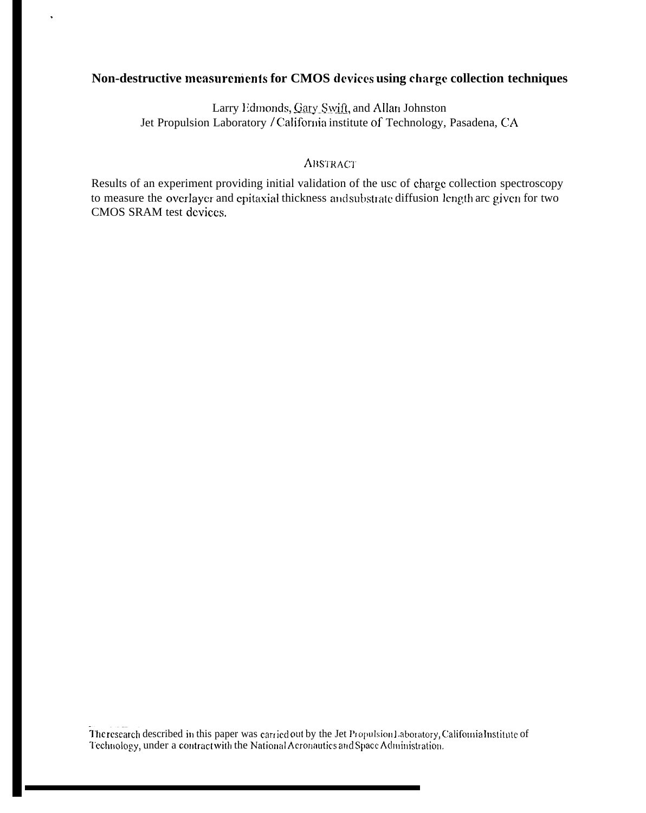# Non-destructive measurements for CMOS devices using charge collection techniques

 $\ddot{\phantom{a}}$ 

Larry Edmonds, Gary Swift, and Allan Johnston Jet Propulsion Laboratory / California institute of Technology, Pasadena, CA

## **ABSTRACT**

Results of an experiment providing initial validation of the usc of charge collection spectroscopy to measure the overlayer and epitaxial thickness and substrate diffusion length are given for two CMOS SRAM test devices.

The research described in this paper was carried out by the Jet Propulsion Laboratory, California Institute of Technology, under a contract with the National Aeronautics and Space Administration.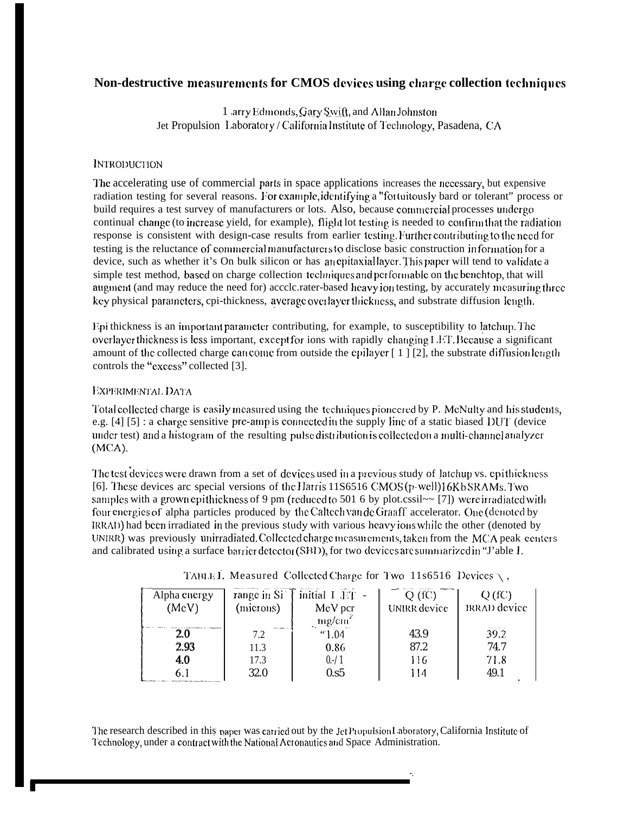# Non-destructive measurements for CMOS devices using charge collection techniques

1 arry Edmonds, Gary Swift, and Allan Johnston Jet Propulsion Laboratory / California Institute of Technology, Pasadena, CA

## **INTRODUCTION**

The accelerating use of commercial parts in space applications increases the necessary, but expensive radiation testing for several reasons. For example, identifying a "fortuitously bard or tolerant" process or build requires a test survey of manufacturers or lots. Also, because commercial processes undergo continual change (to increase yield, for example), flight lot testing is needed to confirm that the radiation response is consistent with design-case results from earlier testing. Further contributing to the need for testing is the reluctance of commercial manufacturers to disclose basic construction information for a device, such as whether it's On bulk silicon or has an epitaxial layer. This paper will tend to validate a simple test method, based on charge collection techniques and performable on the benchtop, that will augment (and may reduce the need for) accclc.rater-based heavy ion testing, by accurately measuring three key physical parameters, cpi-thickness, average overlayer thickness, and substrate diffusion length.

Fpi thickness is an important parameter contributing, for example, to susceptibility to latchup. The overlayer thickness is less important, except for ions with rapidly changing LET. Because a significant amount of the collected charge can come from outside the epilayer  $\lceil 1 \rceil \lceil 2 \rceil$ , the substrate diffusion length controls the "excess" collected [3].

## EXPERIMENTAL DATA

Total collected charge is easily measured using the techniques pionecred by P. McNulty and his students, e.g.  $[4]$  [5]: a charge sensitive pre-amp is connected in the supply line of a static biased DUT (device under test) and a histogram of the resulting pulse distribution is collected on a multi-channel analyzer  $(MCA)$ .

The test devices were drawn from a set of devices used in a previous study of latchup vs. epithickness [6]. These devices arc special versions of the Harris 11S6516 CMOS(p-well)16KbSRAMs. Two samples with a grown epithic kness of 9 pm (reduced to 501 6 by plot.cssil $\sim$  [7]) were irradiated with four energies of alpha particles produced by the Caltech van de Graaff accelerator. One (denoted by IRRAD) had been irradiated in the previous study with various heavy ions while the other (denoted by UNIRR) was previously unirradiated. Collected charge measurements, taken from the MCA peak centers and calibrated using a surface barrier detector (SBD), for two devices are summarized in "J'able I.

| Alpha energy<br>(MeV) | range in Si<br>(microns)  | initial I IT -<br>MeV per<br>mg/cm <sup>2</sup> | Q(fC)<br>UNIRR device | Q(fC)<br><b>IRRAD</b> device |
|-----------------------|---------------------------|-------------------------------------------------|-----------------------|------------------------------|
| 2.0                   | <b>Articulates</b><br>7.2 | "1.04                                           | 43.9                  | 39.2                         |
| 2.93                  | 11.3                      | 0.86                                            | 87.2                  | 74.7                         |
| 4,0                   | 17.3                      | $0. - 1$                                        | 116                   | 71.8                         |
|                       | <b>32.0</b>               | 0.55                                            | 114                   | 49.1                         |

TABLE I. Measured Collected Charge for Two 11s6516 Devices  $\setminus$ ,

The research described in this paper was carried out by the Jet Propulsion Laboratory, California Institute of Technology, under a contract with the National Acronautics and Space Administration.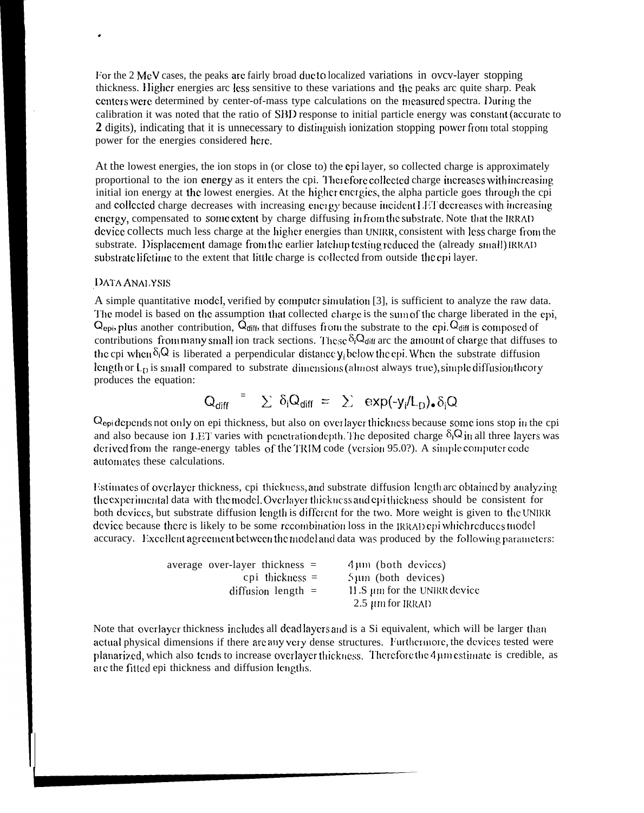I/or the 2 MeV cases, the peaks arc fairly broad duc to localized variations in ovcv-layer stopping thickness. Higher energies arc less sensitive to these variations and the peaks arc quite sharp. Peak centers were determined by center-of-mass type calculations on the measured spectra. During the calibration it was noted that the ratio of SBD response to initial particle energy was constant (accurate to **2** digits), indicating that it is unnecessary to distinguish ionization stopping power from total stopping power for the energies considered here.

At the lowest energies, the ion stops in (or close to) the epi layer, so collected charge is approximately proportional to the ion energy as it enters the cpi. Therefore collected charge increases with increasing initial ion energy at the lowest energies. At the higher energies, the alpha particle goes through the cpi and collected charge decreases with increasing energy because incident LET decreases with increasing energy, compensated to some extent by charge diffusing infrom the substrate. Note that the IRRAD device collects much less charge at the higher energies than UNIRR, consistent with less charge from the substrate. Displacement damage from the earlier latchup testing reduced the (already small) IRRAD substrate lifetime to the extent that little charge is collected from outside the epi layer.

#### DATA ANALYSIS

.

A simple quantitative model, verified by computer simulation [3], is sufficient to analyze the raw data. The model is based on the assumption that collected charge is the sum of the charge liberated in the epi,  $Q_{epi}$ , plus another contribution,  $\dot{Q}_{diff}$ , that diffuses from the substrate to the epi.  $\dot{Q}_{diff}$  is composed of contributions from many small ion track sections. These  $\delta_i Q_{\text{diff}}$  arc the amount of charge that diffuses to the cpi when  $\delta_i Q$  is liberated a perpendicular distance  $y_i$  below the epi. When the substrate diffusion length or  $L_{\text{D}}$  is small compared to substrate dimensions (almost always true), simple diffusion theory produces the equation:

$$
Q_{diff}
$$
 =  $\sum \delta_i Q_{diff}$  =  $\sum \exp(-y_i/L_D)_\bullet \delta_i Q$ 

Q<sub>epi</sub> depends not only on epi thickness, but also on overlayer thickness because some ions stop in the cpi and also because ion LET varies with penetration depth. The deposited charge  $\delta_i$ Q in all three layers was derived from the range-energy tables of the TRIM code (version 95.0?). A simple computer code automates these calculations.

Estimates of overlayer thickness, cpi thickness, and substrate diffusion length arc obtained by analyzing the experimental data with the model. Overlayer thickness and epithickness should be consistent for both devices, but substrate diffusion length is different for the two. More weight is given to the UNIRR device because there is likely to be some recombination loss in the  $IRRAD$  cpi which reduces model accuracy. Excellent agreement between the model and data was produced by the following parameters:

| average over-layer thickness $=$ | $4 \mu m$ (both devices)     |  |
|----------------------------------|------------------------------|--|
| $epi$ thickness $=$              | $5 \mu m$ (both devices)     |  |
| diffusion length $=$             | 11.S um for the UNIRR device |  |
|                                  | 2.5 µm for IRRAD             |  |

Note that overlayer thickness includes all dead layers and is a Si equivalent, which will be larger than actual physical dimensions if there are any very dense structures. Furthermore, the devices tested were planarized, which also tends to increase overlayer thickness. Therefore the 4 µm estimate is credible, as are the fitted epi thickness and diffusion lengths.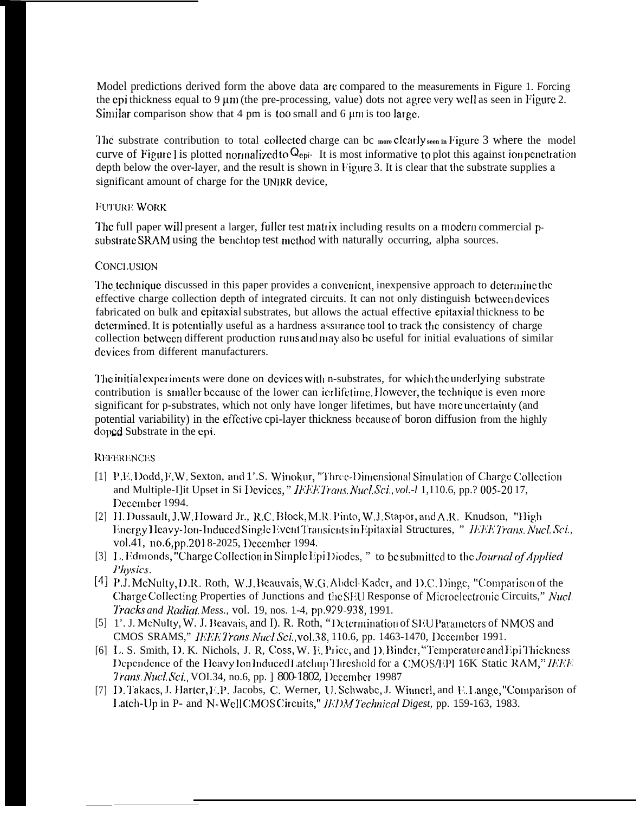Model predictions derived form the above data arc compared to the measurements in Figure 1. Forcing the epi thickness equal to 9  $\mu$ m (the pre-processing, value) dots not agree very well as seen in Figure 2. Similar comparison show that 4 pm is too small and 6  $\mu$ m is too large.

I'hc substrate contribution to total collcctcd charge can bc **more clearly seen in F'igurc** 3 where the model curve of Figure 1 is plotted normalized to  $Q_{epi}$ . It is most informative to plot this against ion penetration depth below the over-layer, and the result is shown in Figure 3. It is clear that the substrate supplies a significant amount of charge for the UNIRR device,

## **FUTURE WORK**

The full paper will present a larger, fuller test matrix including results on a modern commercial psubstrate SRAM using the benchtop test method with naturally occurring, alpha sources.

## CONCI,USION

The technique discussed in this paper provides a convenient, inexpensive approach to determine the effective charge collection depth of integrated circuits. It can not only distinguish between devices fabricated on bulk and cpitaxial substrates, but allows the actual effective epitaxial thickness to bc determined. It is potentially useful as a hardness assurance tool to track the consistency of charge collection between different production runs and may also be useful for initial evaluations of similar devices from different manufacturers.

The initial experiments were done on devices with n-substrates, for which the underlying substrate contribution is smaller because of the lower can icr lifetime. However, the technique is even more significant for p-substrates, which not only have longer lifetimes, but have more uncertainty (and potential variability) in the effective cpi-layer thickness because of boron diffusion from the highly doped Substrate in the epi.

#### **REFERENCES**

- [1] P.E. Dodd, F.W. Sexton, and 1'.S. Winokur, "Three-Dimensional Simulation of Charge Collection and Multiple-I]it Upset in Si Devices," IEEE Trans. Nucl. *Sci.*, vol.-l 1,110.6, pp.? 005-20 17, Deccmbcr 1994.
- [2] H. Dussault, J.W. Howard Jr., R.C. Block, M.R. Pinto, W.J. Stapor, and A.R. Knudson, "High linergy Heavy-Ion-Induced Single Event Transients in Epitaxial Structures, " IEEE Trans. Nucl. Sci., vol.41, no.6, pp.2018-2025, December 1994.
- [3] L. Edmonds, "Charge Collection in Simple Epi Diodes, " to be submitted to the *Journal of Appliea Physics.*
- [4] P.J. McNulty, D.R. Roth, W.J. Beauvais, W.G. Abdel-Kader, and D.C. Dinge, "Comparison of the Charge Collecting Properties of Junctions and the SEU Response of Microelectronic Circuits," Nucl. IFocb *and Radiat. Mess.,* vol. 19, nos. 1-4, pp.9?9-938, 1991.
- [5] 1'. J. McNulty, W. J. Beavais, and I). R. Roth, "Determination of SEU Parameters of NMOS and CMOS SRAMS," IEEE Trans. Nucl. *Sci.*, vol.38, 110.6, pp. 1463-1470, December 1991.
- [6] L. S. Smith, D. K. Nichols, J. R, Coss, W. E. Price, and D. Binder, "Temperature and Epi Thickness Dependence of the Heavy lon Induced Latchup Threshold for a CMOS/EPI 16K Static RAM," IEEE *Trans. Nucl. Sci., VOI.34, no.6, pp.* ] 800-1802, December 19987
- [7] D. Takacs, J. Harter, E.P. Jacobs, C. Werner, U. Schwabe, J. Winnerl, and E. Lange, "Comparison of 1.atch-Up in P- and N-Well CMOS Circuits," *IFDM Technical Digest, pp.* 159-163, 1983.